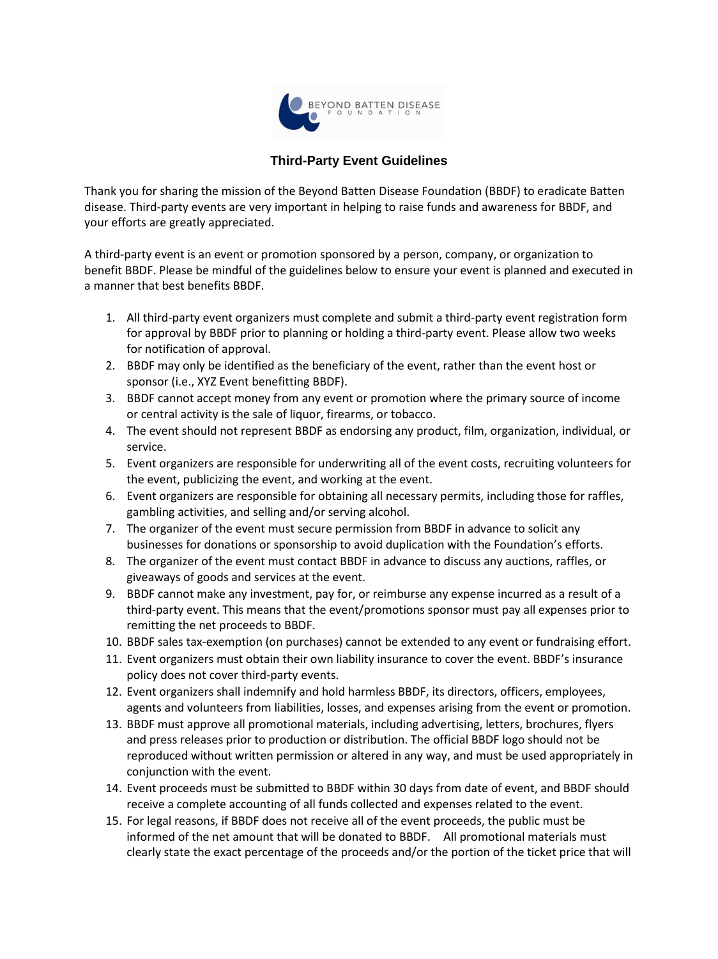

## **Third-Party Event Guidelines**

Thank you for sharing the mission of the Beyond Batten Disease Foundation (BBDF) to eradicate Batten disease. Third-party events are very important in helping to raise funds and awareness for BBDF, and your efforts are greatly appreciated.

A third-party event is an event or promotion sponsored by a person, company, or organization to benefit BBDF. Please be mindful of the guidelines below to ensure your event is planned and executed in a manner that best benefits BBDF.

- 1. All third-party event organizers must complete and submit a third-party event registration form for approval by BBDF prior to planning or holding a third-party event. Please allow two weeks for notification of approval.
- 2. BBDF may only be identified as the beneficiary of the event, rather than the event host or sponsor (i.e., XYZ Event benefitting BBDF).
- 3. BBDF cannot accept money from any event or promotion where the primary source of income or central activity is the sale of liquor, firearms, or tobacco.
- 4. The event should not represent BBDF as endorsing any product, film, organization, individual, or service.
- 5. Event organizers are responsible for underwriting all of the event costs, recruiting volunteers for the event, publicizing the event, and working at the event.
- 6. Event organizers are responsible for obtaining all necessary permits, including those for raffles, gambling activities, and selling and/or serving alcohol.
- 7. The organizer of the event must secure permission from BBDF in advance to solicit any businesses for donations or sponsorship to avoid duplication with the Foundation's efforts.
- 8. The organizer of the event must contact BBDF in advance to discuss any auctions, raffles, or giveaways of goods and services at the event.
- 9. BBDF cannot make any investment, pay for, or reimburse any expense incurred as a result of a third-party event. This means that the event/promotions sponsor must pay all expenses prior to remitting the net proceeds to BBDF.
- 10. BBDF sales tax-exemption (on purchases) cannot be extended to any event or fundraising effort.
- 11. Event organizers must obtain their own liability insurance to cover the event. BBDF's insurance policy does not cover third-party events.
- 12. Event organizers shall indemnify and hold harmless BBDF, its directors, officers, employees, agents and volunteers from liabilities, losses, and expenses arising from the event or promotion.
- 13. BBDF must approve all promotional materials, including advertising, letters, brochures, flyers and press releases prior to production or distribution. The official BBDF logo should not be reproduced without written permission or altered in any way, and must be used appropriately in conjunction with the event.
- 14. Event proceeds must be submitted to BBDF within 30 days from date of event, and BBDF should receive a complete accounting of all funds collected and expenses related to the event.
- 15. For legal reasons, if BBDF does not receive all of the event proceeds, the public must be informed of the net amount that will be donated to BBDF. All promotional materials must clearly state the exact percentage of the proceeds and/or the portion of the ticket price that will